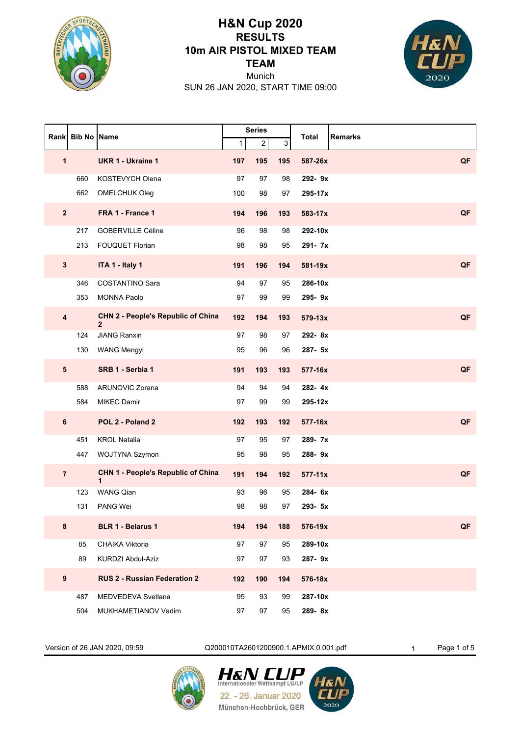

## **TEAM 10m AIR PISTOL MIXED TEAM RESULTS H&N Cup 2020**



SUN 26 JAN 2020, START TIME 09:00 Munich

|                |                  |                                                           | <b>Series</b> |          |     |         |                |
|----------------|------------------|-----------------------------------------------------------|---------------|----------|-----|---------|----------------|
|                | Rank Bib No Name |                                                           | 1             | $2\vert$ | 3   | Total   | <b>Remarks</b> |
| 1              |                  | <b>UKR 1 - Ukraine 1</b>                                  | 197           | 195      | 195 | 587-26x | QF             |
|                | 660              | <b>KOSTEVYCH Olena</b>                                    | 97            | 97       | 98  | 292-9x  |                |
|                | 662              | <b>OMELCHUK Oleg</b>                                      | 100           | 98       | 97  | 295-17x |                |
| $\mathbf{2}$   |                  | FRA 1 - France 1                                          | 194           | 196      | 193 | 583-17x | QF             |
|                | 217              | <b>GOBERVILLE Céline</b>                                  | 96            | 98       | 98  | 292-10x |                |
|                | 213              | <b>FOUQUET Florian</b>                                    | 98            | 98       | 95  | 291-7x  |                |
| $\mathbf 3$    |                  | ITA 1 - Italy 1                                           | 191           | 196      | 194 | 581-19x | QF             |
|                | 346              | COSTANTINO Sara                                           | 94            | 97       | 95  | 286-10x |                |
|                | 353              | <b>MONNA Paolo</b>                                        | 97            | 99       | 99  | 295-9x  |                |
| 4              |                  | <b>CHN 2 - People's Republic of China</b><br>$\mathbf{2}$ | 192           | 194      | 193 | 579-13x | QF             |
|                | 124              | <b>JIANG Ranxin</b>                                       | 97            | 98       | 97  | 292-8x  |                |
|                | 130              | <b>WANG Mengyi</b>                                        | 95            | 96       | 96  | 287- 5x |                |
| 5              |                  | SRB 1 - Serbia 1                                          | 191           | 193      | 193 | 577-16x | QF             |
|                | 588              | <b>ARUNOVIC Zorana</b>                                    | 94            | 94       | 94  | 282-4x  |                |
|                | 584              | <b>MIKEC Damir</b>                                        | 97            | 99       | 99  | 295-12x |                |
| 6              |                  | POL 2 - Poland 2                                          | 192           | 193      | 192 | 577-16x | QF             |
|                | 451              | <b>KROL Natalia</b>                                       | 97            | 95       | 97  | 289-7x  |                |
|                | 447              | WOJTYNA Szymon                                            | 95            | 98       | 95  | 288-9x  |                |
| $\overline{7}$ |                  | <b>CHN 1 - People's Republic of China</b><br>1            | 191           | 194      | 192 | 577-11x | QF             |
|                | 123              | <b>WANG Qian</b>                                          | 93            | 96       | 95  | 284-6x  |                |
|                | 131              | <b>PANG Wei</b>                                           | 98            | 98       | 97  | 293-5x  |                |
| 8              |                  | <b>BLR 1 - Belarus 1</b>                                  | 194           | 194      | 188 | 576-19x | QF             |
|                | 85               | CHAIKA Viktoria                                           | 97            | 97       | 95  | 289-10x |                |
|                | 89               | KURDZI Abdul-Aziz                                         | 97            | 97       | 93  | 287-9x  |                |
| 9              |                  | <b>RUS 2 - Russian Federation 2</b>                       | 192           | 190      | 194 | 576-18x |                |
|                | 487              | MEDVEDEVA Svetlana                                        | 95            | 93       | 99  | 287-10x |                |
|                | 504              | MUKHAMETIANOV Vadim                                       | 97            | 97       | 95  | 289-8x  |                |

Version of 26 JAN 2020, 09:59 <br>
Q200010TA2601200900.1.APMIX.0.001.pdf 1 Page 1 of 5



**HEM CUP**<br>Internationaler Wettkampf LG/LP 22. - 26. Januar 2020 München-Hochbrück, GER

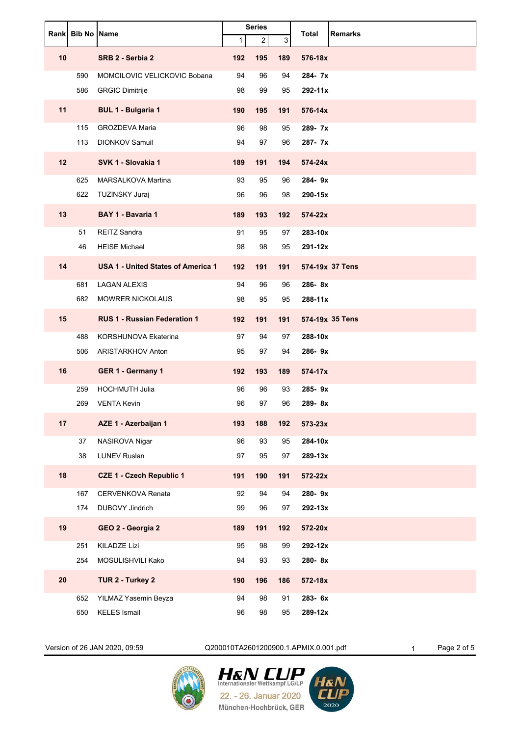|    | Rank Bib No Name |                                           | <b>Series</b> |                         |     | <b>Remarks</b>  |
|----|------------------|-------------------------------------------|---------------|-------------------------|-----|-----------------|
|    |                  |                                           | $\mathbf{1}$  | $\overline{\mathbf{c}}$ | 3   | Total           |
| 10 |                  | SRB 2 - Serbia 2                          | 192           | 195                     | 189 | 576-18x         |
|    | 590              | MOMCILOVIC VELICKOVIC Bobana              | 94            | 96                      | 94  | 284-7x          |
|    | 586              | <b>GRGIC Dimitrije</b>                    | 98            | 99                      | 95  | 292-11x         |
| 11 |                  | <b>BUL 1 - Bulgaria 1</b>                 | 190           | 195                     | 191 | 576-14x         |
|    | 115              | <b>GROZDEVA Maria</b>                     | 96            | 98                      | 95  | 289-7x          |
|    | 113              | <b>DIONKOV Samuil</b>                     | 94            | 97                      | 96  | 287-7x          |
| 12 |                  | SVK 1 - Slovakia 1                        | 189           | 191                     | 194 | 574-24x         |
|    | 625              | <b>MARSALKOVA Martina</b>                 | 93            | 95                      | 96  | 284-9x          |
|    | 622              | TUZINSKY Juraj                            | 96            | 96                      | 98  | 290-15x         |
| 13 |                  | BAY 1 - Bavaria 1                         | 189           | 193                     | 192 | 574-22x         |
|    | 51               | <b>REITZ Sandra</b>                       | 91            | 95                      | 97  | 283-10x         |
|    | 46               | <b>HEISE Michael</b>                      | 98            | 98                      | 95  | 291-12x         |
| 14 |                  | <b>USA 1 - United States of America 1</b> | 192           | 191                     | 191 | 574-19x 37 Tens |
|    | 681              | <b>LAGAN ALEXIS</b>                       | 94            | 96                      | 96  | 286-8x          |
|    | 682              | <b>MOWRER NICKOLAUS</b>                   | 98            | 95                      | 95  | 288-11x         |
| 15 |                  | <b>RUS 1 - Russian Federation 1</b>       | 192           | 191                     | 191 | 574-19x 35 Tens |
|    | 488              | KORSHUNOVA Ekaterina                      | 97            | 94                      | 97  | 288-10x         |
|    | 506              | <b>ARISTARKHOV Anton</b>                  | 95            | 97                      | 94  | 286-9x          |
| 16 |                  | GER 1 - Germany 1                         | 192           | 193                     | 189 | 574-17x         |
|    | 259              | <b>HOCHMUTH Julia</b>                     | 96            | 96                      | 93  | 285-9x          |
|    | 269              | <b>VENTA Kevin</b>                        | 96            | 97                      | 96  | 289-8x          |
| 17 |                  | AZE 1 - Azerbaijan 1                      | 193           | 188                     | 192 | 573-23x         |
|    | 37               | NASIROVA Nigar                            | 96            | 93                      | 95  | 284-10x         |
|    | 38               | <b>LUNEV Ruslan</b>                       | 97            | 95                      | 97  | $289 - 13x$     |
| 18 |                  | <b>CZE 1 - Czech Republic 1</b>           | 191           | 190                     | 191 | 572-22x         |
|    | 167              | <b>CERVENKOVA Renata</b>                  | 92            | 94                      | 94  | 280-9x          |
|    | 174              | DUBOVY Jindrich                           | 99            | 96                      | 97  | 292-13x         |
| 19 |                  | GEO 2 - Georgia 2                         | 189           | 191                     | 192 | 572-20x         |
|    | 251              | KILADZE Lizi                              | 95            | 98                      | 99  | 292-12x         |
|    | 254              | MOSULISHVILI Kako                         | 94            | 93                      | 93  | 280-8x          |
| 20 |                  | TUR 2 - Turkey 2                          | 190           | 196                     | 186 | 572-18x         |
|    | 652              | YILMAZ Yasemin Beyza                      | 94            | 98                      | 91  | 283-6x          |
|    | 650              | <b>KELES Ismail</b>                       | 96            | 98                      | 95  | 289-12x         |

Version of 26 JAN 2020, 09:59 Q200010TA2601200900.1.APMIX.0.001.pdf 1 Page 2 of 5

H<sub>&</sub> **CL** 

**HEN CUP** 

22. - 26. Januar 2020

München-Hochbrück, GER

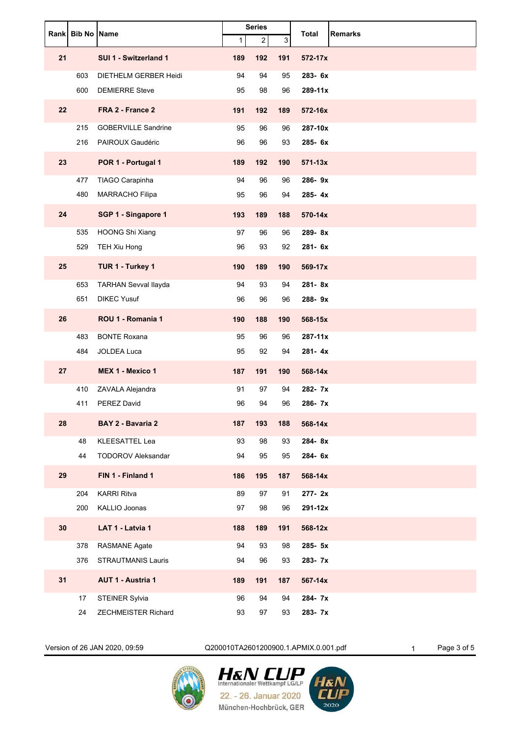|    |     | Rank Bib No Name            | <b>Series</b> |                |     |                                |
|----|-----|-----------------------------|---------------|----------------|-----|--------------------------------|
|    |     |                             | $\mathbf{1}$  | $\overline{c}$ | 3   | <b>Remarks</b><br><b>Total</b> |
| 21 |     | SUI 1 - Switzerland 1       | 189           | 192            | 191 | 572-17x                        |
|    | 603 | DIETHELM GERBER Heidi       | 94            | 94             | 95  | 283-6x                         |
|    | 600 | <b>DEMIERRE Steve</b>       | 95            | 98             | 96  | 289-11x                        |
| 22 |     | FRA 2 - France 2            | 191           | 192            | 189 | 572-16x                        |
|    | 215 | <b>GOBERVILLE Sandrine</b>  | 95            | 96             | 96  | 287-10x                        |
|    | 216 | PAIROUX Gaudéric            | 96            | 96             | 93  | 285-6x                         |
| 23 |     | POR 1 - Portugal 1          | 189           | 192            | 190 | $571 - 13x$                    |
|    | 477 | TIAGO Carapinha             | 94            | 96             | 96  | 286-9x                         |
|    | 480 | <b>MARRACHO Filipa</b>      | 95            | 96             | 94  | 285-4x                         |
| 24 |     | SGP 1 - Singapore 1         | 193           | 189            | 188 | 570-14x                        |
|    | 535 | <b>HOONG Shi Xiang</b>      | 97            | 96             | 96  | 289-8x                         |
|    | 529 | TEH Xiu Hong                | 96            | 93             | 92  | 281-6x                         |
| 25 |     | TUR 1 - Turkey 1            | 190           | 189            | 190 | 569-17x                        |
|    | 653 | <b>TARHAN Sevval llayda</b> | 94            | 93             | 94  | 281-8x                         |
|    | 651 | <b>DIKEC Yusuf</b>          | 96            | 96             | 96  | 288-9x                         |
| 26 |     | ROU 1 - Romania 1           | 190           | 188            | 190 | 568-15x                        |
|    | 483 | <b>BONTE Roxana</b>         | 95            | 96             | 96  | 287-11x                        |
|    | 484 | <b>JOLDEA Luca</b>          | 95            | 92             | 94  | 281-4x                         |
| 27 |     | <b>MEX 1 - Mexico 1</b>     | 187           | 191            | 190 | 568-14x                        |
|    | 410 | ZAVALA Alejandra            | 91            | 97             | 94  | 282- 7x                        |
|    | 411 | <b>PEREZ David</b>          | 96            | 94             | 96  | 286-7x                         |
| 28 |     | BAY 2 - Bavaria 2           | 187           | 193            | 188 | 568-14x                        |
|    | 48  | KLEESATTEL Lea              | 93            | 98             | 93  | 284-8x                         |
|    | 44  | <b>TODOROV Aleksandar</b>   | 94            | 95             | 95  | 284-6x                         |
| 29 |     | FIN 1 - Finland 1           | 186           | 195            | 187 | 568-14x                        |
|    | 204 | <b>KARRI Ritva</b>          | 89            | 97             | 91  | 277-2x                         |
|    | 200 | KALLIO Joonas               | 97            | 98             | 96  | 291-12x                        |
| 30 |     | LAT 1 - Latvia 1            | 188           | 189            | 191 | 568-12x                        |
|    | 378 | <b>RASMANE Agate</b>        | 94            | 93             | 98  | 285-5x                         |
|    | 376 | STRAUTMANIS Lauris          | 94            | 96             | 93  | 283-7x                         |
| 31 |     | AUT 1 - Austria 1           | 189           | 191            | 187 | 567-14x                        |
|    | 17  | STEINER Sylvia              | 96            | 94             | 94  | 284-7x                         |
|    | 24  | <b>ZECHMEISTER Richard</b>  | 93            | 97             | 93  | 283-7x                         |

Version of 26 JAN 2020, 09:59 Q200010TA2601200900.1.APMIX.0.001.pdf 1 Page 3 of 5

H<sub>&</sub> **CL** 

**HEN CUP** 

22. - 26. Januar 2020

München-Hochbrück, GER

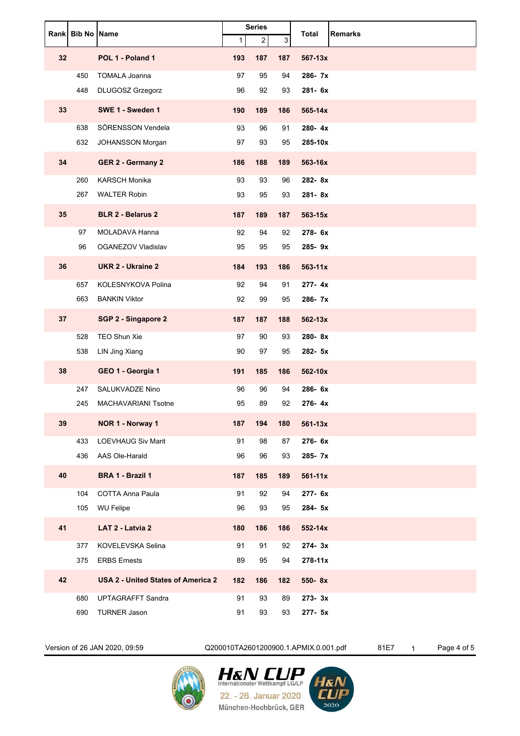|    | Rank Bib No Name |                                    | <b>Series</b> |                |                           | <b>Remarks</b><br><b>Total</b> |
|----|------------------|------------------------------------|---------------|----------------|---------------------------|--------------------------------|
|    |                  |                                    | 1             | $\overline{c}$ | $\ensuremath{\mathsf{3}}$ |                                |
| 32 |                  | POL 1 - Poland 1                   | 193           | 187            | 187                       | $567 - 13x$                    |
|    | 450              | <b>TOMALA Joanna</b>               | 97            | 95             | 94                        | 286-7x                         |
|    | 448              | DLUGOSZ Grzegorz                   | 96            | 92             | 93                        | 281-6x                         |
| 33 |                  | SWE 1 - Sweden 1                   | 190           | 189            | 186                       | 565-14x                        |
|    | 638              | SÖRENSSON Vendela                  | 93            | 96             | 91                        | 280-4x                         |
|    | 632              | JOHANSSON Morgan                   | 97            | 93             | 95                        | 285-10x                        |
| 34 |                  | GER 2 - Germany 2                  | 186           | 188            | 189                       | 563-16x                        |
|    | 260              | <b>KARSCH Monika</b>               | 93            | 93             | 96                        | 282-8x                         |
|    | 267              | <b>WALTER Robin</b>                | 93            | 95             | 93                        | 281-8x                         |
| 35 |                  | <b>BLR 2 - Belarus 2</b>           | 187           | 189            | 187                       | 563-15x                        |
|    | 97               | <b>MOLADAVA Hanna</b>              | 92            | 94             | 92                        | 278-6x                         |
|    | 96               | OGANEZOV Vladislav                 | 95            | 95             | 95                        | 285-9x                         |
| 36 |                  | <b>UKR 2 - Ukraine 2</b>           | 184           | 193            | 186                       | 563-11x                        |
|    | 657              | KOLESNYKOVA Polina                 | 92            | 94             | 91                        | 277-4x                         |
|    | 663              | <b>BANKIN Viktor</b>               | 92            | 99             | 95                        | 286-7x                         |
| 37 |                  | SGP 2 - Singapore 2                | 187           | 187            | 188                       | $562 - 13x$                    |
|    | 528              | TEO Shun Xie                       | 97            | $90\,$         | 93                        | 280-8x                         |
|    | 538              | LIN Jing Xiang                     | 90            | 97             | 95                        | 282- 5x                        |
| 38 |                  | GEO 1 - Georgia 1                  | 191           | 185            | 186                       | 562-10x                        |
|    | 247              | SALUKVADZE Nino                    | 96            | 96             | 94                        | 286-6x                         |
|    | 245              | MACHAVARIANI Tsotne                | 95            | 89             | 92                        | 276-4x                         |
| 39 |                  | NOR 1 - Norway 1                   | 187           | 194            | 180                       | $561 - 13x$                    |
|    | 433              | <b>LOEVHAUG Siv Marit</b>          | 91            | 98             | 87                        | 276-6x                         |
|    | 436              | AAS Ole-Harald                     | 96            | 96             | 93                        | 285-7x                         |
| 40 |                  | BRA 1 - Brazil 1                   | 187           | 185            | 189                       | $561 - 11x$                    |
|    | 104              | COTTA Anna Paula                   | 91            | 92             | 94                        | 277- 6x                        |
|    | 105              | <b>WU Felipe</b>                   | 96            | 93             | 95                        | 284- 5x                        |
| 41 |                  | LAT 2 - Latvia 2                   | 180           | 186            | 186                       | 552-14x                        |
|    | 377              | KOVELEVSKA Selina                  | 91            | 91             | 92                        | 274-3x                         |
|    | 375              | <b>ERBS Ernests</b>                | 89            | 95             | 94                        | $278 - 11x$                    |
| 42 |                  | USA 2 - United States of America 2 | 182           | 186            | 182                       | 550-8x                         |
|    | 680              | <b>UPTAGRAFFT Sandra</b>           | 91            | 93             | 89                        | $273 - 3x$                     |
|    | 690              | <b>TURNER Jason</b>                | 91            | 93             | 93                        | 277- 5x                        |

Version of 26 JAN 2020, 09:59 Q200010TA2601200900.1.APMIX.0.001.pdf 81E7 1 Page 4 of 5

Ha **CL** 

**HEN CUP** 

22. - 26. Januar 2020

München-Hochbrück, GER